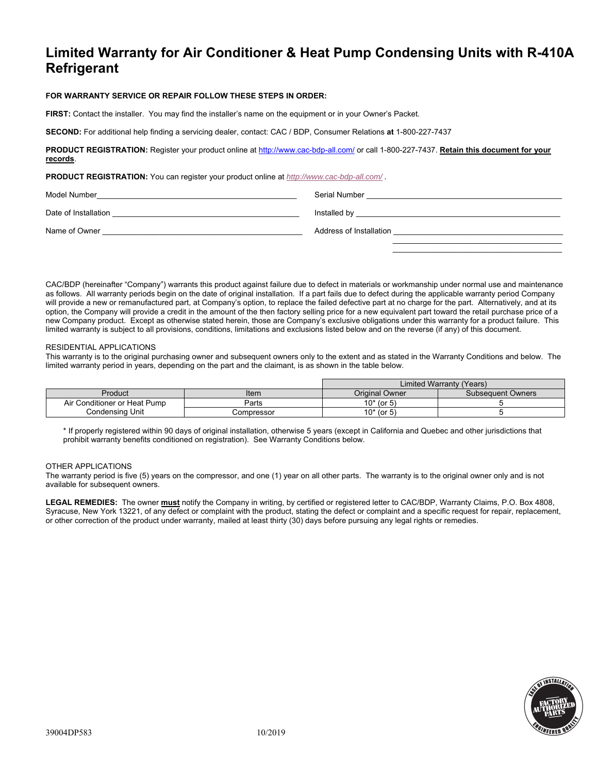# **Limited Warranty for Air Conditioner & Heat Pump Condensing Units with R-410A Refrigerant**

### **FOR WARRANTY SERVICE OR REPAIR FOLLOW THESE STEPS IN ORDER:**

**FIRST:** Contact the installer. You may find the installer's name on the equipment or in your Owner's Packet.

**SECOND:** For additional help finding a servicing dealer, contact: CAC / BDP, Consumer Relations **at** 1-800-227-7437

**PRODUCT REGISTRATION:** Register your product online at http://www.cac-bdp-all.com/ or call 1-800-227-7437. **Retain this document for your records**.

**PRODUCT REGISTRATION:** You can register your product online at *http://www.cac-bdp-all.com/ .* 

| Model Number         | Serial Number           |
|----------------------|-------------------------|
| Date of Installation | Installed by            |
| Name of Owner        | Address of Installation |
|                      |                         |

CAC/BDP (hereinafter "Company") warrants this product against failure due to defect in materials or workmanship under normal use and maintenance as follows. All warranty periods begin on the date of original installation. If a part fails due to defect during the applicable warranty period Company will provide a new or remanufactured part, at Company's option, to replace the failed defective part at no charge for the part. Alternatively, and at its option, the Company will provide a credit in the amount of the then factory selling price for a new equivalent part toward the retail purchase price of a new Company product. Except as otherwise stated herein, those are Company's exclusive obligations under this warranty for a product failure. This limited warranty is subject to all provisions, conditions, limitations and exclusions listed below and on the reverse (if any) of this document.

#### RESIDENTIAL APPLICATIONS

This warranty is to the original purchasing owner and subsequent owners only to the extent and as stated in the Warranty Conditions and below. The limited warranty period in years, depending on the part and the claimant, is as shown in the table below.

|                              |            | Limited Warranty (Years) |                          |
|------------------------------|------------|--------------------------|--------------------------|
| Product                      | Item       | Original Owner           | <b>Subsequent Owners</b> |
| Air Conditioner or Heat Pump | Parts      | $10*$ (or 5)             |                          |
| Condensing Unit              | Compressor | $10*$ (or 5)             |                          |

\* If properly registered within 90 days of original installation, otherwise 5 years (except in California and Quebec and other jurisdictions that prohibit warranty benefits conditioned on registration). See Warranty Conditions below.

### OTHER APPLICATIONS

The warranty period is five (5) years on the compressor, and one (1) year on all other parts. The warranty is to the original owner only and is not available for subsequent owners.

**LEGAL REMEDIES:** The owner **must** notify the Company in writing, by certified or registered letter to CAC/BDP, Warranty Claims, P.O. Box 4808, Syracuse, New York 13221, of any defect or complaint with the product, stating the defect or complaint and a specific request for repair, replacement, or other correction of the product under warranty, mailed at least thirty (30) days before pursuing any legal rights or remedies.